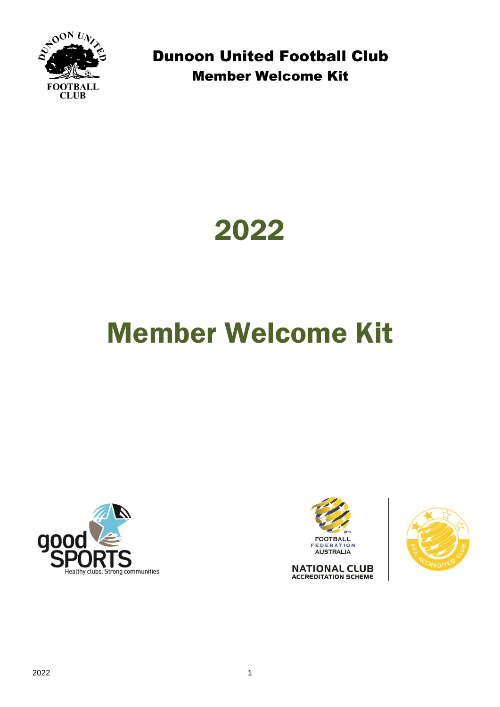



# Member Welcome Kit





**NATIONAL CLUB ACCREDITATION SCHEME** 

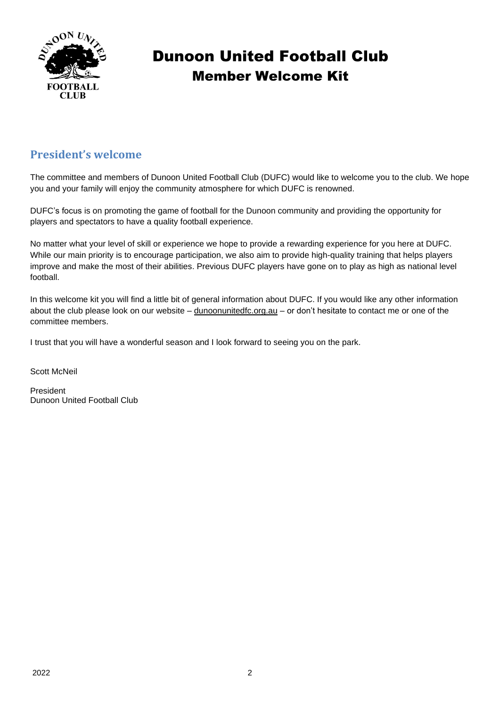

#### **President's welcome**

The committee and members of Dunoon United Football Club (DUFC) would like to welcome you to the club. We hope you and your family will enjoy the community atmosphere for which DUFC is renowned.

DUFC's focus is on promoting the game of football for the Dunoon community and providing the opportunity for players and spectators to have a quality football experience.

No matter what your level of skill or experience we hope to provide a rewarding experience for you here at DUFC. While our main priority is to encourage participation, we also aim to provide high-quality training that helps players improve and make the most of their abilities. Previous DUFC players have gone on to play as high as national level football.

In this welcome kit you will find a little bit of general information about DUFC. If you would like any other information about the club please look on our website – [dunoonunitedfc.org.au](http://www.dunoonunitedfc.org.au/) – or don't hesitate to contact me or one of the committee members.

I trust that you will have a wonderful season and I look forward to seeing you on the park.

Scott McNeil

President Dunoon United Football Club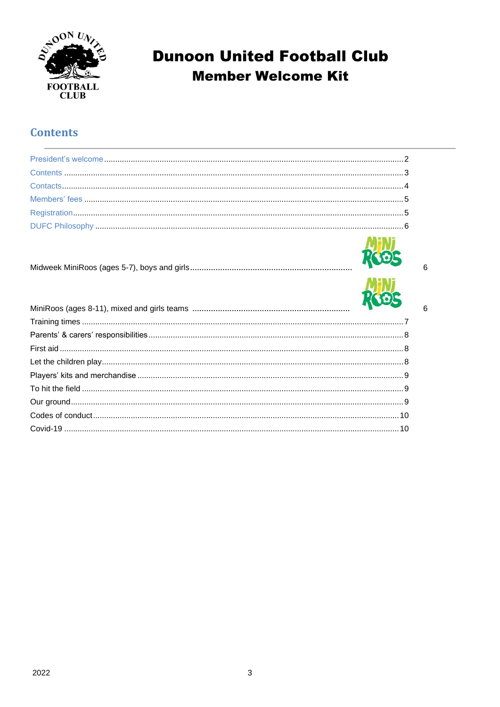

#### **Contents**

| $\mathbf{A} \mathbf{B} = \mathbf{B} \mathbf{A} \mathbf{B}$ |  |
|------------------------------------------------------------|--|



 $6\overline{6}$ 

 $6\phantom{a}$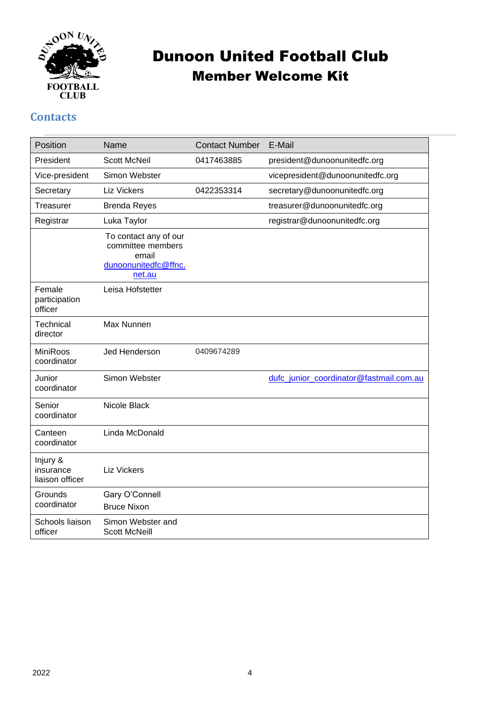

#### **Contacts**

| Position                                 | Name                                                                                  | <b>Contact Number</b> | E-Mail                                  |
|------------------------------------------|---------------------------------------------------------------------------------------|-----------------------|-----------------------------------------|
| President                                | <b>Scott McNeil</b>                                                                   | 0417463885            | president@dunoonunitedfc.org            |
| Vice-president                           | Simon Webster                                                                         |                       | vicepresident@dunoonunitedfc.org        |
| Secretary                                | <b>Liz Vickers</b>                                                                    | 0422353314            | secretary@dunoonunitedfc.org            |
| Treasurer                                | <b>Brenda Reyes</b>                                                                   |                       | treasurer@dunoonunitedfc.org            |
| Registrar                                | Luka Taylor                                                                           |                       | registrar@dunoonunitedfc.org            |
|                                          | To contact any of our<br>committee members<br>email<br>dunoonunitedfc@ffnc.<br>net.au |                       |                                         |
| Female<br>participation<br>officer       | Leisa Hofstetter                                                                      |                       |                                         |
| Technical<br>director                    | Max Nunnen                                                                            |                       |                                         |
| <b>MiniRoos</b><br>coordinator           | Jed Henderson                                                                         | 0409674289            |                                         |
| Junior<br>coordinator                    | Simon Webster                                                                         |                       | dufc_junior_coordinator@fastmail.com.au |
| Senior<br>coordinator                    | Nicole Black                                                                          |                       |                                         |
| Canteen<br>coordinator                   | Linda McDonald                                                                        |                       |                                         |
| Injury &<br>insurance<br>liaison officer | <b>Liz Vickers</b>                                                                    |                       |                                         |
| Grounds<br>coordinator                   | Gary O'Connell<br><b>Bruce Nixon</b>                                                  |                       |                                         |
| Schools liaison<br>officer               | Simon Webster and<br><b>Scott McNeill</b>                                             |                       |                                         |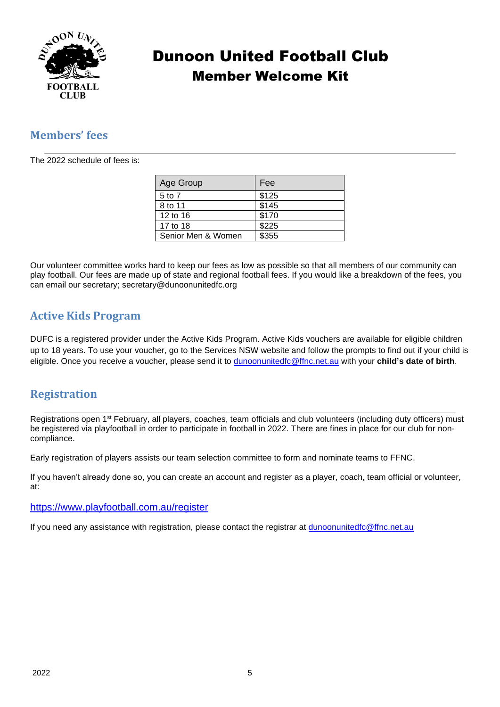

#### **Members' fees**

The 2022 schedule of fees is:

| Age Group          | Fee   |
|--------------------|-------|
| 5 to 7             | \$125 |
| 8 to 11            | \$145 |
| 12 to 16           | \$170 |
| 17 to 18           | \$225 |
| Senior Men & Women | \$355 |

Our volunteer committee works hard to keep our fees as low as possible so that all members of our community can play football. Our fees are made up of state and regional football fees. If you would like a breakdown of the fees, you can email our secretary; secretary@dunoonunitedfc.org

#### **Active Kids Program**

DUFC is a registered provider under the Active Kids Program. Active Kids vouchers are available for eligible children up to 18 years. To use your voucher, go to the Services NSW website and follow the prompts to find out if your child is eligible. Once you receive a voucher, please send it to [dunoonunitedfc@ffnc.net.au](mailto:dunoonunitedfc@ffnc.net.au) with your **child's date of birth**.

#### **Registration**

Registrations open 1st February, all players, coaches, team officials and club volunteers (including duty officers) must be registered via playfootball in order to participate in football in 2022. There are fines in place for our club for noncompliance.

Early registration of players assists our team selection committee to form and nominate teams to FFNC.

If you haven't already done so, you can create an account and register as a player, coach, team official or volunteer, at:

#### <https://www.playfootball.com.au/register>

If you need any assistance with registration, please contact the registrar at [dunoonunitedfc@ffnc.net.au](mailto:dunoonunitedfc@ffnc.net.au)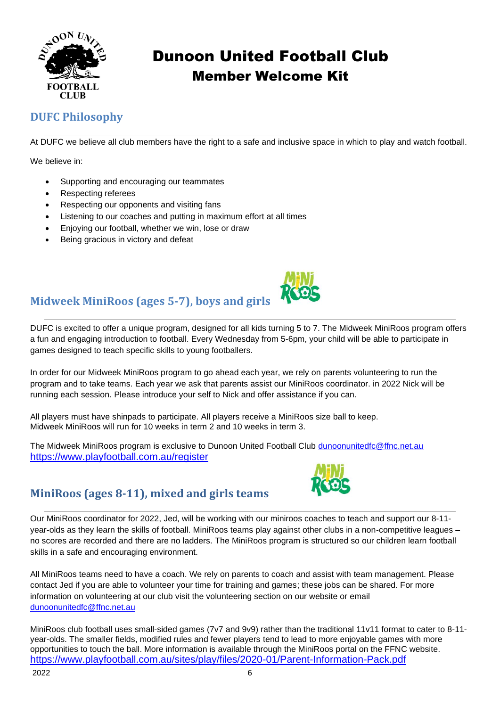

## **DUFC Philosophy**

At DUFC we believe all club members have the right to a safe and inclusive space in which to play and watch football.

We believe in:

- Supporting and encouraging our teammates
- Respecting referees
- Respecting our opponents and visiting fans
- Listening to our coaches and putting in maximum effort at all times
- Enjoying our football, whether we win, lose or draw
- Being gracious in victory and defeat



## **Midweek MiniRoos (ages 5-7), boys and girls**

DUFC is excited to offer a unique program, designed for all kids turning 5 to 7. The Midweek MiniRoos program offers a fun and engaging introduction to football. Every Wednesday from 5-6pm, your child will be able to participate in games designed to teach specific skills to young footballers.

In order for our Midweek MiniRoos program to go ahead each year, we rely on parents volunteering to run the program and to take teams. Each year we ask that parents assist our MiniRoos coordinator. in 2022 Nick will be running each session. Please introduce your self to Nick and offer assistance if you can.

All players must have shinpads to participate. All players receive a MiniRoos size ball to keep. Midweek MiniRoos will run for 10 weeks in term 2 and 10 weeks in term 3.

The Midweek MiniRoos program is exclusive to Dunoon United Football Club <dunoonunitedfc@ffnc.net.au> <https://www.playfootball.com.au/register>



## **MiniRoos (ages 8-11), mixed and girls teams**

Our MiniRoos coordinator for 2022, Jed, will be working with our miniroos coaches to teach and support our 8-11 year-olds as they learn the skills of football. MiniRoos teams play against other clubs in a non-competitive leagues – no scores are recorded and there are no ladders. The MiniRoos program is structured so our children learn football skills in a safe and encouraging environment.

All MiniRoos teams need to have a coach. We rely on parents to coach and assist with team management. Please contact Jed if you are able to volunteer your time for training and games; these jobs can be shared. For more information on volunteering at our club visit the volunteering section on our website or email [dunoonunitedfc@ffnc.net.au](mailto:dunoonunitedfc@ffnc.net.au)

MiniRoos club football uses small-sided games (7v7 and 9v9) rather than the traditional 11v11 format to cater to 8-11year-olds. The smaller fields, modified rules and fewer players tend to lead to more enjoyable games with more opportunities to touch the ball. More information is available through the MiniRoos portal on the FFNC website. <https://www.playfootball.com.au/sites/play/files/2020-01/Parent-Information-Pack.pdf>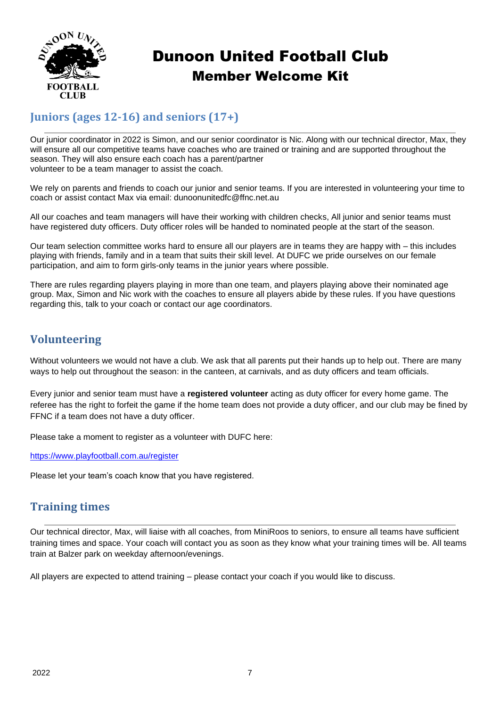

## **Juniors (ages 12-16) and seniors (17+)**

Our junior coordinator in 2022 is Simon, and our senior coordinator is Nic. Along with our technical director, Max, they will ensure all our competitive teams have coaches who are trained or training and are supported throughout the season. They will also ensure each coach has a parent/partner volunteer to be a team manager to assist the coach.

We rely on parents and friends to coach our junior and senior teams. If you are interested in volunteering your time to coach or assist contact Max via email: dunoonunitedfc@ffnc.net.au

All our coaches and team managers will have their working with children checks, All junior and senior teams must have registered duty officers. Duty officer roles will be handed to nominated people at the start of the season.

Our team selection committee works hard to ensure all our players are in teams they are happy with – this includes playing with friends, family and in a team that suits their skill level. At DUFC we pride ourselves on our female participation, and aim to form girls-only teams in the junior years where possible.

There are rules regarding players playing in more than one team, and players playing above their nominated age group. Max, Simon and Nic work with the coaches to ensure all players abide by these rules. If you have questions regarding this, talk to your coach or contact our age coordinators.

#### **Volunteering**

Without volunteers we would not have a club. We ask that all parents put their hands up to help out. There are many ways to help out throughout the season: in the canteen, at carnivals, and as duty officers and team officials.

Every junior and senior team must have a **registered volunteer** acting as duty officer for every home game. The referee has the right to forfeit the game if the home team does not provide a duty officer, and our club may be fined by FFNC if a team does not have a duty officer.

Please take a moment to register as a volunteer with DUFC here:

<https://www.playfootball.com.au/register>

Please let your team's coach know that you have registered.

#### **Training times**

Our technical director, Max, will liaise with all coaches, from MiniRoos to seniors, to ensure all teams have sufficient training times and space. Your coach will contact you as soon as they know what your training times will be. All teams train at Balzer park on weekday afternoon/evenings.

All players are expected to attend training – please contact your coach if you would like to discuss.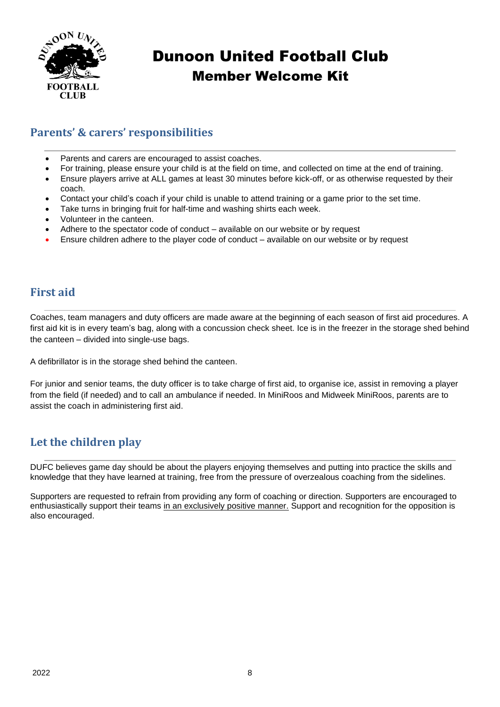

### **Parents' & carers' responsibilities**

- Parents and carers are encouraged to assist coaches.
- For training, please ensure your child is at the field on time, and collected on time at the end of training.
- Ensure players arrive at ALL games at least 30 minutes before kick-off, or as otherwise requested by their coach.
- Contact your child's coach if your child is unable to attend training or a game prior to the set time.
- Take turns in bringing fruit for half-time and washing shirts each week.
- Volunteer in the canteen.
- Adhere to the spectator code of conduct available on our website or by request
- Ensure children adhere to the player code of conduct available on our website or by request

#### **First aid**

Coaches, team managers and duty officers are made aware at the beginning of each season of first aid procedures. A first aid kit is in every team's bag, along with a concussion check sheet. Ice is in the freezer in the storage shed behind the canteen – divided into single-use bags.

A defibrillator is in the storage shed behind the canteen.

For junior and senior teams, the duty officer is to take charge of first aid, to organise ice, assist in removing a player from the field (if needed) and to call an ambulance if needed. In MiniRoos and Midweek MiniRoos, parents are to assist the coach in administering first aid.

#### **Let the children play**

DUFC believes game day should be about the players enjoying themselves and putting into practice the skills and knowledge that they have learned at training, free from the pressure of overzealous coaching from the sidelines.

Supporters are requested to refrain from providing any form of coaching or direction. Supporters are encouraged to enthusiastically support their teams in an exclusively positive manner. Support and recognition for the opposition is also encouraged.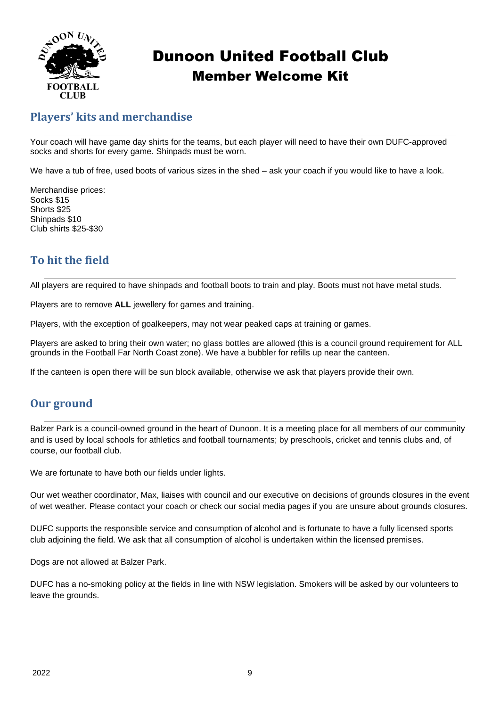

#### **Players' kits and merchandise**

Your coach will have game day shirts for the teams, but each player will need to have their own DUFC-approved socks and shorts for every game. Shinpads must be worn.

We have a tub of free, used boots of various sizes in the shed – ask your coach if you would like to have a look.

Merchandise prices: Socks \$15 Shorts \$25 Shinpads \$10 Club shirts \$25-\$30

## **To hit the field**

All players are required to have shinpads and football boots to train and play. Boots must not have metal studs.

Players are to remove **ALL** jewellery for games and training.

Players, with the exception of goalkeepers, may not wear peaked caps at training or games.

Players are asked to bring their own water; no glass bottles are allowed (this is a council ground requirement for ALL grounds in the Football Far North Coast zone). We have a bubbler for refills up near the canteen.

If the canteen is open there will be sun block available, otherwise we ask that players provide their own.

#### **Our ground**

Balzer Park is a council-owned ground in the heart of Dunoon. It is a meeting place for all members of our community and is used by local schools for athletics and football tournaments; by preschools, cricket and tennis clubs and, of course, our football club.

We are fortunate to have both our fields under lights.

Our wet weather coordinator, Max, liaises with council and our executive on decisions of grounds closures in the event of wet weather. Please contact your coach or check our social media pages if you are unsure about grounds closures.

DUFC supports the responsible service and consumption of alcohol and is fortunate to have a fully licensed sports club adjoining the field. We ask that all consumption of alcohol is undertaken within the licensed premises.

Dogs are not allowed at Balzer Park.

DUFC has a no-smoking policy at the fields in line with NSW legislation. Smokers will be asked by our volunteers to leave the grounds.